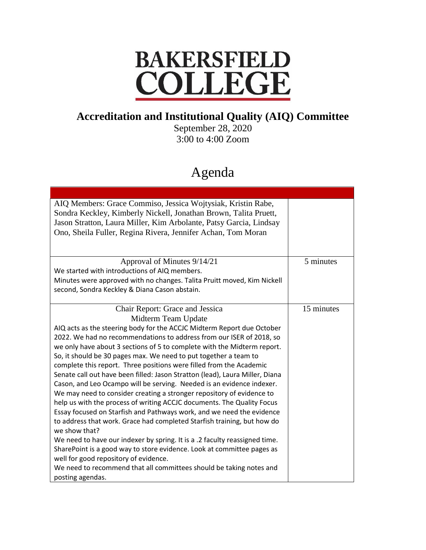## **BAKERSFIELD** COLLEGE

## **Accreditation and Institutional Quality (AIQ) Committee**

September 28, 2020 3:00 to 4:00 Zoom

## Agenda

| AIQ Members: Grace Commiso, Jessica Wojtysiak, Kristin Rabe,<br>Sondra Keckley, Kimberly Nickell, Jonathan Brown, Talita Pruett,<br>Jason Stratton, Laura Miller, Kim Arbolante, Patsy Garcia, Lindsay<br>Ono, Sheila Fuller, Regina Rivera, Jennifer Achan, Tom Moran |            |
|------------------------------------------------------------------------------------------------------------------------------------------------------------------------------------------------------------------------------------------------------------------------|------------|
| Approval of Minutes 9/14/21                                                                                                                                                                                                                                            | 5 minutes  |
| We started with introductions of AIQ members.                                                                                                                                                                                                                          |            |
| Minutes were approved with no changes. Talita Pruitt moved, Kim Nickell                                                                                                                                                                                                |            |
| second, Sondra Keckley & Diana Cason abstain.                                                                                                                                                                                                                          |            |
| Chair Report: Grace and Jessica                                                                                                                                                                                                                                        | 15 minutes |
| Midterm Team Update                                                                                                                                                                                                                                                    |            |
| AIQ acts as the steering body for the ACCJC Midterm Report due October                                                                                                                                                                                                 |            |
| 2022. We had no recommendations to address from our ISER of 2018, so                                                                                                                                                                                                   |            |
| we only have about 3 sections of 5 to complete with the Midterm report.                                                                                                                                                                                                |            |
| So, it should be 30 pages max. We need to put together a team to                                                                                                                                                                                                       |            |
| complete this report. Three positions were filled from the Academic                                                                                                                                                                                                    |            |
| Senate call out have been filled: Jason Stratton (lead), Laura Miller, Diana<br>Cason, and Leo Ocampo will be serving. Needed is an evidence indexer.                                                                                                                  |            |
| We may need to consider creating a stronger repository of evidence to                                                                                                                                                                                                  |            |
| help us with the process of writing ACCJC documents. The Quality Focus                                                                                                                                                                                                 |            |
| Essay focused on Starfish and Pathways work, and we need the evidence                                                                                                                                                                                                  |            |
| to address that work. Grace had completed Starfish training, but how do                                                                                                                                                                                                |            |
| we show that?                                                                                                                                                                                                                                                          |            |
| We need to have our indexer by spring. It is a .2 faculty reassigned time.                                                                                                                                                                                             |            |
| SharePoint is a good way to store evidence. Look at committee pages as                                                                                                                                                                                                 |            |
| well for good repository of evidence.                                                                                                                                                                                                                                  |            |
| We need to recommend that all committees should be taking notes and                                                                                                                                                                                                    |            |
| posting agendas.                                                                                                                                                                                                                                                       |            |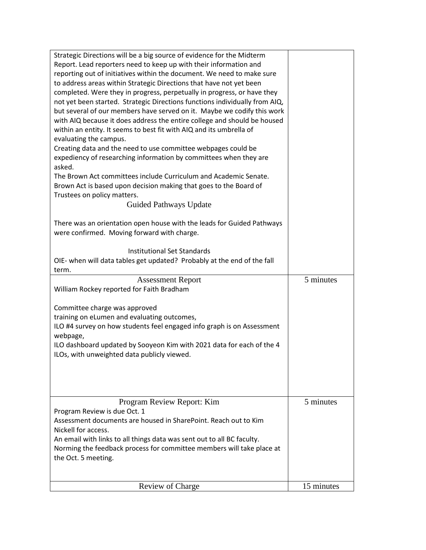| Strategic Directions will be a big source of evidence for the Midterm<br>Report. Lead reporters need to keep up with their information and<br>reporting out of initiatives within the document. We need to make sure<br>to address areas within Strategic Directions that have not yet been<br>completed. Were they in progress, perpetually in progress, or have they<br>not yet been started. Strategic Directions functions individually from AIQ,<br>but several of our members have served on it. Maybe we codify this work<br>with AIQ because it does address the entire college and should be housed<br>within an entity. It seems to best fit with AIQ and its umbrella of<br>evaluating the campus.<br>Creating data and the need to use committee webpages could be<br>expediency of researching information by committees when they are<br>asked.<br>The Brown Act committees include Curriculum and Academic Senate.<br>Brown Act is based upon decision making that goes to the Board of<br>Trustees on policy matters.<br>Guided Pathways Update<br>There was an orientation open house with the leads for Guided Pathways<br>were confirmed. Moving forward with charge.<br><b>Institutional Set Standards</b><br>OIE- when will data tables get updated? Probably at the end of the fall |            |
|-----------------------------------------------------------------------------------------------------------------------------------------------------------------------------------------------------------------------------------------------------------------------------------------------------------------------------------------------------------------------------------------------------------------------------------------------------------------------------------------------------------------------------------------------------------------------------------------------------------------------------------------------------------------------------------------------------------------------------------------------------------------------------------------------------------------------------------------------------------------------------------------------------------------------------------------------------------------------------------------------------------------------------------------------------------------------------------------------------------------------------------------------------------------------------------------------------------------------------------------------------------------------------------------------------------|------------|
| term.<br><b>Assessment Report</b>                                                                                                                                                                                                                                                                                                                                                                                                                                                                                                                                                                                                                                                                                                                                                                                                                                                                                                                                                                                                                                                                                                                                                                                                                                                                         | 5 minutes  |
| William Rockey reported for Faith Bradham                                                                                                                                                                                                                                                                                                                                                                                                                                                                                                                                                                                                                                                                                                                                                                                                                                                                                                                                                                                                                                                                                                                                                                                                                                                                 |            |
| Committee charge was approved<br>training on eLumen and evaluating outcomes,<br>ILO #4 survey on how students feel engaged info graph is on Assessment<br>webpage,<br>ILO dashboard updated by Sooyeon Kim with 2021 data for each of the 4<br>ILOs, with unweighted data publicly viewed.                                                                                                                                                                                                                                                                                                                                                                                                                                                                                                                                                                                                                                                                                                                                                                                                                                                                                                                                                                                                                |            |
| Program Review Report: Kim<br>Program Review is due Oct. 1                                                                                                                                                                                                                                                                                                                                                                                                                                                                                                                                                                                                                                                                                                                                                                                                                                                                                                                                                                                                                                                                                                                                                                                                                                                | 5 minutes  |
| Assessment documents are housed in SharePoint. Reach out to Kim<br>Nickell for access.                                                                                                                                                                                                                                                                                                                                                                                                                                                                                                                                                                                                                                                                                                                                                                                                                                                                                                                                                                                                                                                                                                                                                                                                                    |            |
| An email with links to all things data was sent out to all BC faculty.<br>Norming the feedback process for committee members will take place at<br>the Oct. 5 meeting.                                                                                                                                                                                                                                                                                                                                                                                                                                                                                                                                                                                                                                                                                                                                                                                                                                                                                                                                                                                                                                                                                                                                    |            |
|                                                                                                                                                                                                                                                                                                                                                                                                                                                                                                                                                                                                                                                                                                                                                                                                                                                                                                                                                                                                                                                                                                                                                                                                                                                                                                           |            |
| Review of Charge                                                                                                                                                                                                                                                                                                                                                                                                                                                                                                                                                                                                                                                                                                                                                                                                                                                                                                                                                                                                                                                                                                                                                                                                                                                                                          | 15 minutes |